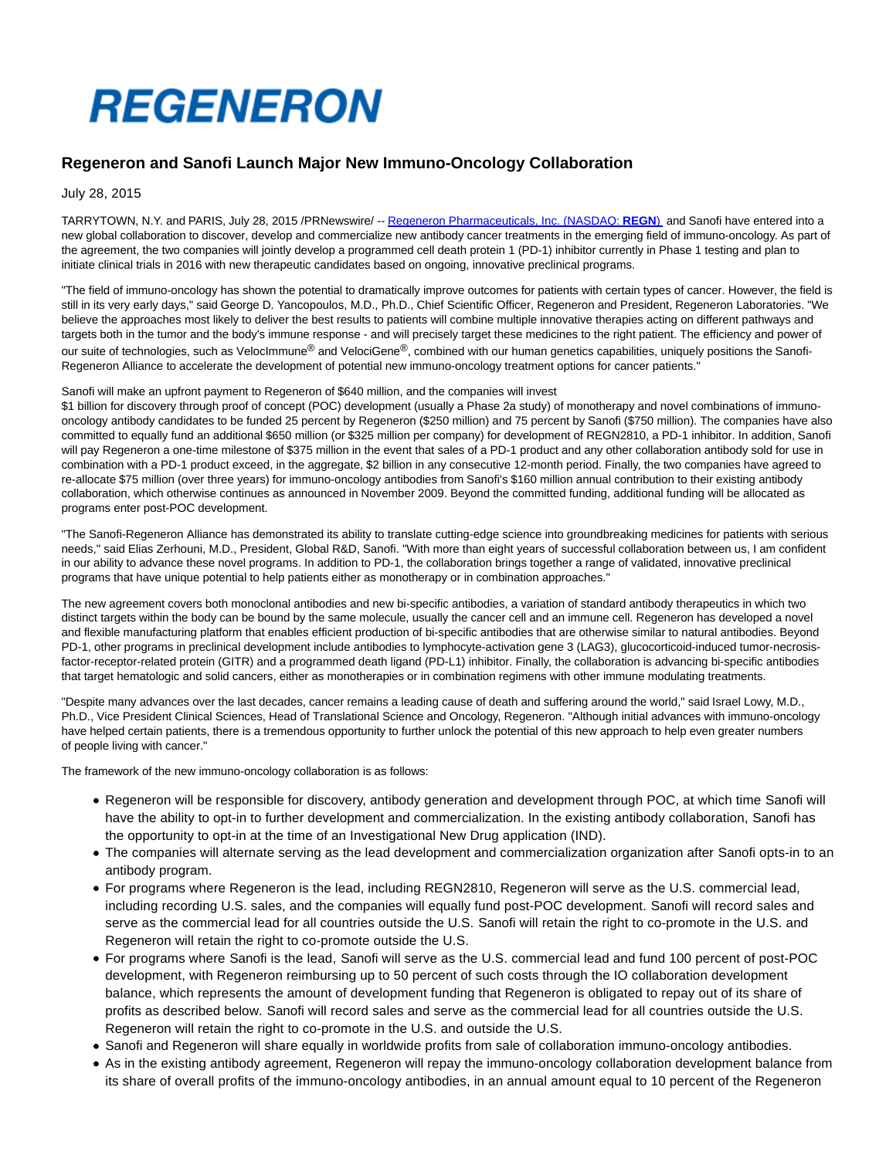

# **Regeneron and Sanofi Launch Major New Immuno-Oncology Collaboration**

July 28, 2015

TARRYTOWN, N.Y. and PARIS, July 28, 2015 /PRNewswire/ -[- Regeneron Pharmaceuticals, Inc. \(NASDAQ:](http://www.regeneron.com/) **REGN**) and Sanofi have entered into a new global collaboration to discover, develop and commercialize new antibody cancer treatments in the emerging field of immuno-oncology. As part of the agreement, the two companies will jointly develop a programmed cell death protein 1 (PD-1) inhibitor currently in Phase 1 testing and plan to initiate clinical trials in 2016 with new therapeutic candidates based on ongoing, innovative preclinical programs.

"The field of immuno-oncology has shown the potential to dramatically improve outcomes for patients with certain types of cancer. However, the field is still in its very early days," said George D. Yancopoulos, M.D., Ph.D., Chief Scientific Officer, Regeneron and President, Regeneron Laboratories. "We believe the approaches most likely to deliver the best results to patients will combine multiple innovative therapies acting on different pathways and targets both in the tumor and the body's immune response - and will precisely target these medicines to the right patient. The efficiency and power of our suite of technologies, such as VelocImmune<sup>®</sup> and VelociGene<sup>®</sup>, combined with our human genetics capabilities, uniquely positions the Sanofi-Regeneron Alliance to accelerate the development of potential new immuno-oncology treatment options for cancer patients."

# Sanofi will make an upfront payment to Regeneron of \$640 million, and the companies will invest

\$1 billion for discovery through proof of concept (POC) development (usually a Phase 2a study) of monotherapy and novel combinations of immunooncology antibody candidates to be funded 25 percent by Regeneron (\$250 million) and 75 percent by Sanofi (\$750 million). The companies have also committed to equally fund an additional \$650 million (or \$325 million per company) for development of REGN2810, a PD-1 inhibitor. In addition, Sanofi will pay Regeneron a one-time milestone of \$375 million in the event that sales of a PD-1 product and any other collaboration antibody sold for use in combination with a PD-1 product exceed, in the aggregate, \$2 billion in any consecutive 12-month period. Finally, the two companies have agreed to re-allocate \$75 million (over three years) for immuno-oncology antibodies from Sanofi's \$160 million annual contribution to their existing antibody collaboration, which otherwise continues as announced in November 2009. Beyond the committed funding, additional funding will be allocated as programs enter post-POC development.

"The Sanofi-Regeneron Alliance has demonstrated its ability to translate cutting-edge science into groundbreaking medicines for patients with serious needs," said Elias Zerhouni, M.D., President, Global R&D, Sanofi. "With more than eight years of successful collaboration between us, I am confident in our ability to advance these novel programs. In addition to PD-1, the collaboration brings together a range of validated, innovative preclinical programs that have unique potential to help patients either as monotherapy or in combination approaches."

The new agreement covers both monoclonal antibodies and new bi-specific antibodies, a variation of standard antibody therapeutics in which two distinct targets within the body can be bound by the same molecule, usually the cancer cell and an immune cell. Regeneron has developed a novel and flexible manufacturing platform that enables efficient production of bi-specific antibodies that are otherwise similar to natural antibodies. Beyond PD-1, other programs in preclinical development include antibodies to lymphocyte-activation gene 3 (LAG3), glucocorticoid-induced tumor-necrosisfactor-receptor-related protein (GITR) and a programmed death ligand (PD-L1) inhibitor. Finally, the collaboration is advancing bi-specific antibodies that target hematologic and solid cancers, either as monotherapies or in combination regimens with other immune modulating treatments.

"Despite many advances over the last decades, cancer remains a leading cause of death and suffering around the world," said Israel Lowy, M.D., Ph.D., Vice President Clinical Sciences, Head of Translational Science and Oncology, Regeneron. "Although initial advances with immuno-oncology have helped certain patients, there is a tremendous opportunity to further unlock the potential of this new approach to help even greater numbers of people living with cancer."

The framework of the new immuno-oncology collaboration is as follows:

- Regeneron will be responsible for discovery, antibody generation and development through POC, at which time Sanofi will have the ability to opt-in to further development and commercialization. In the existing antibody collaboration, Sanofi has the opportunity to opt-in at the time of an Investigational New Drug application (IND).
- The companies will alternate serving as the lead development and commercialization organization after Sanofi opts-in to an antibody program.
- For programs where Regeneron is the lead, including REGN2810, Regeneron will serve as the U.S. commercial lead, including recording U.S. sales, and the companies will equally fund post-POC development. Sanofi will record sales and serve as the commercial lead for all countries outside the U.S. Sanofi will retain the right to co-promote in the U.S. and Regeneron will retain the right to co-promote outside the U.S.
- For programs where Sanofi is the lead, Sanofi will serve as the U.S. commercial lead and fund 100 percent of post-POC development, with Regeneron reimbursing up to 50 percent of such costs through the IO collaboration development balance, which represents the amount of development funding that Regeneron is obligated to repay out of its share of profits as described below. Sanofi will record sales and serve as the commercial lead for all countries outside the U.S. Regeneron will retain the right to co-promote in the U.S. and outside the U.S.
- Sanofi and Regeneron will share equally in worldwide profits from sale of collaboration immuno-oncology antibodies.
- As in the existing antibody agreement, Regeneron will repay the immuno-oncology collaboration development balance from its share of overall profits of the immuno-oncology antibodies, in an annual amount equal to 10 percent of the Regeneron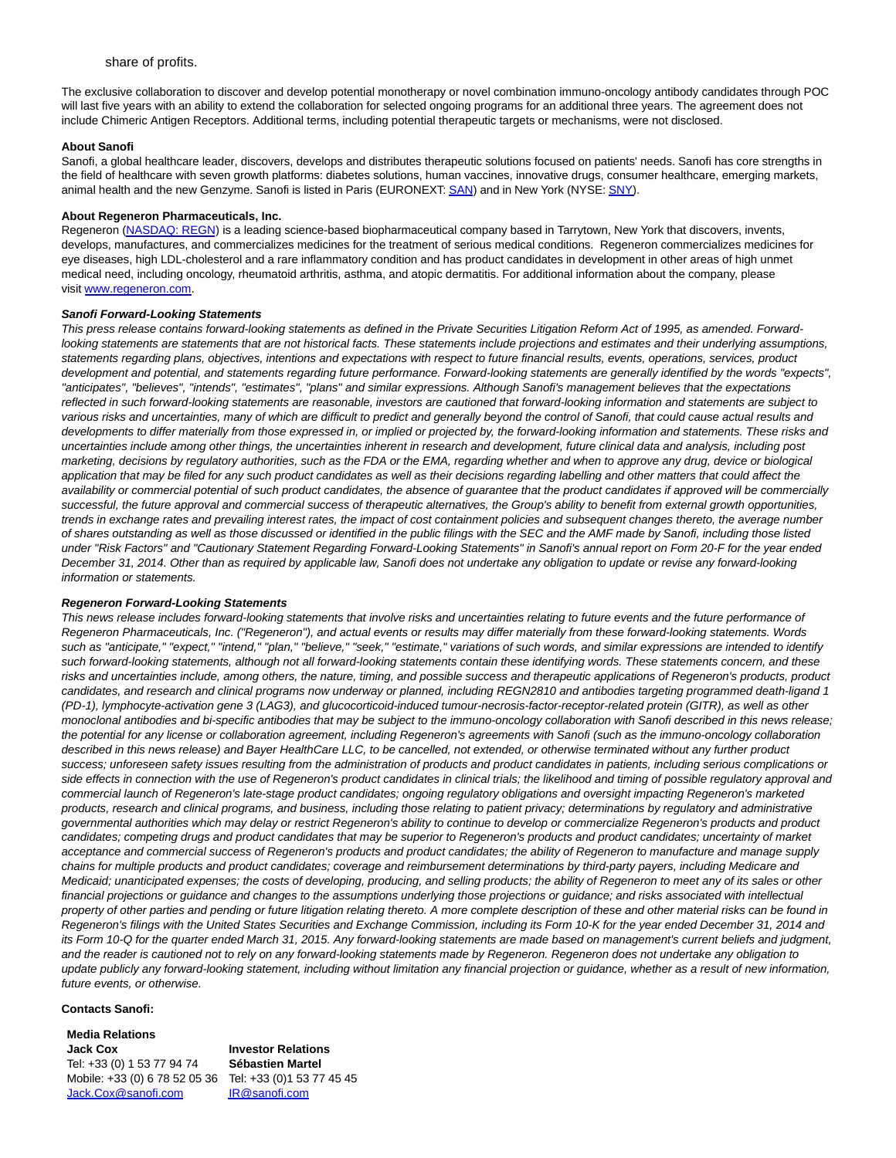## share of profits.

The exclusive collaboration to discover and develop potential monotherapy or novel combination immuno-oncology antibody candidates through POC will last five years with an ability to extend the collaboration for selected ongoing programs for an additional three years. The agreement does not include Chimeric Antigen Receptors. Additional terms, including potential therapeutic targets or mechanisms, were not disclosed.

#### **About Sanofi**

Sanofi, a global healthcare leader, discovers, develops and distributes therapeutic solutions focused on patients' needs. Sanofi has core strengths in the field of healthcare with seven growth platforms: diabetes solutions, human vaccines, innovative drugs, consumer healthcare, emerging markets, animal health and the new Genzyme. Sanofi is listed in Paris (EURONEXT[: SAN\)](http://en.sanofi.com/investors/share/stock_chart/stock_chart.aspx) and in New York (NYSE[: SNY\).](http://en.sanofi.com/investors/share/stock_chart/stock_chart.aspx)

#### **About Regeneron Pharmaceuticals, Inc.**

Regeneron [\(NASDAQ: REGN\)](http://investor.regeneron.com/stockquote.cfm) is a leading science-based biopharmaceutical company based in Tarrytown, New York that discovers, invents, develops, manufactures, and commercializes medicines for the treatment of serious medical conditions. Regeneron commercializes medicines for eye diseases, high LDL-cholesterol and a rare inflammatory condition and has product candidates in development in other areas of high unmet medical need, including oncology, rheumatoid arthritis, asthma, and atopic dermatitis. For additional information about the company, please visit [www.regeneron.com.](http://www.regeneron.com/)

#### **Sanofi Forward-Looking Statements**

This press release contains forward-looking statements as defined in the Private Securities Litigation Reform Act of 1995, as amended. Forwardlooking statements are statements that are not historical facts. These statements include projections and estimates and their underlying assumptions, statements regarding plans, objectives, intentions and expectations with respect to future financial results, events, operations, services, product development and potential, and statements regarding future performance. Forward-looking statements are generally identified by the words "expects", "anticipates", "believes", "intends", "estimates", "plans" and similar expressions. Although Sanofi's management believes that the expectations reflected in such forward-looking statements are reasonable, investors are cautioned that forward-looking information and statements are subject to various risks and uncertainties, many of which are difficult to predict and generally beyond the control of Sanofi, that could cause actual results and developments to differ materially from those expressed in, or implied or projected by, the forward-looking information and statements. These risks and uncertainties include among other things, the uncertainties inherent in research and development, future clinical data and analysis, including post marketing, decisions by regulatory authorities, such as the FDA or the EMA, regarding whether and when to approve any drug, device or biological application that may be filed for any such product candidates as well as their decisions regarding labelling and other matters that could affect the availability or commercial potential of such product candidates, the absence of guarantee that the product candidates if approved will be commercially successful, the future approval and commercial success of therapeutic alternatives, the Group's ability to benefit from external growth opportunities, trends in exchange rates and prevailing interest rates, the impact of cost containment policies and subsequent changes thereto, the average number of shares outstanding as well as those discussed or identified in the public filings with the SEC and the AMF made by Sanofi, including those listed under "Risk Factors" and "Cautionary Statement Regarding Forward-Looking Statements" in Sanofi's annual report on Form 20-F for the year ended December 31, 2014. Other than as required by applicable law, Sanofi does not undertake any obligation to update or revise any forward-looking information or statements.

#### **Regeneron Forward-Looking Statements**

This news release includes forward-looking statements that involve risks and uncertainties relating to future events and the future performance of Regeneron Pharmaceuticals, Inc. ("Regeneron"), and actual events or results may differ materially from these forward-looking statements. Words such as "anticipate," "expect," "intend," "plan," "believe," "seek," "estimate," variations of such words, and similar expressions are intended to identify such forward-looking statements, although not all forward-looking statements contain these identifying words. These statements concern, and these risks and uncertainties include, among others, the nature, timing, and possible success and therapeutic applications of Regeneron's products, product candidates, and research and clinical programs now underway or planned, including REGN2810 and antibodies targeting programmed death-ligand 1 (PD-1), lymphocyte-activation gene 3 (LAG3), and glucocorticoid-induced tumour-necrosis-factor-receptor-related protein (GITR), as well as other monoclonal antibodies and bi-specific antibodies that may be subject to the immuno-oncology collaboration with Sanofi described in this news release; the potential for any license or collaboration agreement, including Regeneron's agreements with Sanofi (such as the immuno-oncology collaboration described in this news release) and Bayer HealthCare LLC, to be cancelled, not extended, or otherwise terminated without any further product success; unforeseen safety issues resulting from the administration of products and product candidates in patients, including serious complications or side effects in connection with the use of Regeneron's product candidates in clinical trials; the likelihood and timing of possible regulatory approval and commercial launch of Regeneron's late-stage product candidates; ongoing regulatory obligations and oversight impacting Regeneron's marketed products, research and clinical programs, and business, including those relating to patient privacy; determinations by regulatory and administrative governmental authorities which may delay or restrict Regeneron's ability to continue to develop or commercialize Regeneron's products and product candidates; competing drugs and product candidates that may be superior to Regeneron's products and product candidates; uncertainty of market acceptance and commercial success of Regeneron's products and product candidates; the ability of Regeneron to manufacture and manage supply chains for multiple products and product candidates; coverage and reimbursement determinations by third-party payers, including Medicare and Medicaid; unanticipated expenses; the costs of developing, producing, and selling products; the ability of Regeneron to meet any of its sales or other financial projections or guidance and changes to the assumptions underlying those projections or guidance; and risks associated with intellectual property of other parties and pending or future litigation relating thereto. A more complete description of these and other material risks can be found in Regeneron's filings with the United States Securities and Exchange Commission, including its Form 10-K for the year ended December 31, 2014 and its Form 10-Q for the quarter ended March 31, 2015. Any forward-looking statements are made based on management's current beliefs and judgment, and the reader is cautioned not to rely on any forward-looking statements made by Regeneron. Regeneron does not undertake any obligation to update publicly any forward-looking statement, including without limitation any financial projection or guidance, whether as a result of new information, future events, or otherwise.

## **Contacts Sanofi:**

**Media Relations**

**Jack Cox** Tel: +33 (0) 1 53 77 94 74 Mobile: +33 (0) 6 78 52 05 36 [Jack.Cox@sanofi.com](mailto:Jack.Cox@sanofi.com)

**Investor Relations Sébastien Martel** Tel: +33 (0)1 53 77 45 45 [IR@sanofi.com](mailto:IR@sanofi.com)